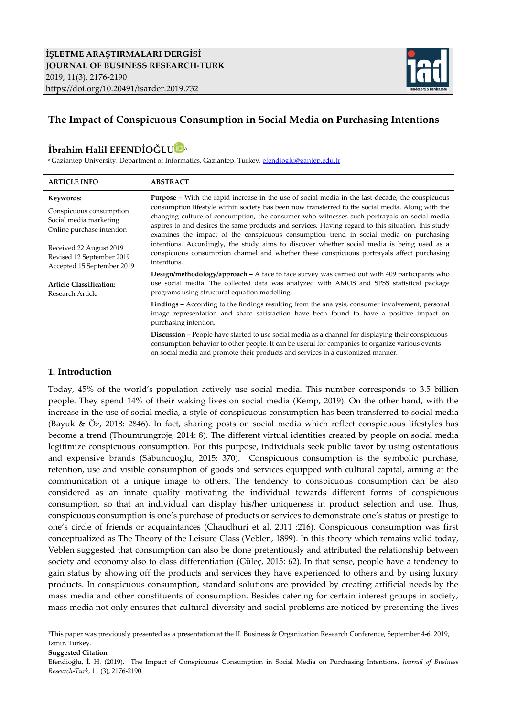

# **The Impact of Conspicuous Consumption in Social Media on Purchasing Intentions**

# **İbrahim Halil EFENDİOĞL[U](https://orcid.org/0000-0002-4968-375X)** <sup>a</sup>

<sup>a</sup> Gaziantep University, Department of Informatics, Gaziantep, Turkey[, efendioglu@gantep.edu.tr](mailto:efendioglu@gantep.edu.tr)

| <b>ARTICLE INFO</b>                                                                         | <b>ABSTRACT</b>                                                                                                                                                                                                                                                                                                                                                                                                                                                                                             |
|---------------------------------------------------------------------------------------------|-------------------------------------------------------------------------------------------------------------------------------------------------------------------------------------------------------------------------------------------------------------------------------------------------------------------------------------------------------------------------------------------------------------------------------------------------------------------------------------------------------------|
| Keywords:<br>Conspicuous consumption<br>Social media marketing<br>Online purchase intention | <b>Purpose -</b> With the rapid increase in the use of social media in the last decade, the conspicuous<br>consumption lifestyle within society has been now transferred to the social media. Along with the<br>changing culture of consumption, the consumer who witnesses such portrayals on social media<br>aspires to and desires the same products and services. Having regard to this situation, this study<br>examines the impact of the conspicuous consumption trend in social media on purchasing |
| Received 22 August 2019<br>Revised 12 September 2019<br>Accepted 15 September 2019          | intentions. Accordingly, the study aims to discover whether social media is being used as a<br>conspicuous consumption channel and whether these conspicuous portrayals affect purchasing<br>intentions.                                                                                                                                                                                                                                                                                                    |
| <b>Article Classification:</b><br>Research Article                                          | <b>Design/methodology/approach</b> $- A$ face to face survey was carried out with 409 participants who<br>use social media. The collected data was analyzed with AMOS and SPSS statistical package<br>programs using structural equation modelling.                                                                                                                                                                                                                                                         |
|                                                                                             | <b>Findings</b> – According to the findings resulting from the analysis, consumer involvement, personal<br>image representation and share satisfaction have been found to have a positive impact on<br>purchasing intention.                                                                                                                                                                                                                                                                                |
|                                                                                             | <b>Discussion</b> – People have started to use social media as a channel for displaying their conspicuous<br>consumption behavior to other people. It can be useful for companies to organize various events<br>on social media and promote their products and services in a customized manner.                                                                                                                                                                                                             |

#### **1. Introduction**

Today, 45% of the world's population actively use social media. This number corresponds to 3.5 billion people. They spend 14% of their waking lives on social media (Kemp, 2019). On the other hand, with the increase in the use of social media, a style of conspicuous consumption has been transferred to social media (Bayuk & Öz, 2018: 2846). In fact, sharing posts on social media which reflect conspicuous lifestyles has become a trend (Thoumrungroje, 2014: 8). The different virtual identities created by people on social media legitimize conspicuous consumption. For this purpose, individuals seek public favor by using ostentatious and expensive brands (Sabuncuoğlu, 2015: 370). Conspicuous consumption is the symbolic purchase, retention, use and visible consumption of goods and services equipped with cultural capital, aiming at the communication of a unique image to others. The tendency to conspicuous consumption can be also considered as an innate quality motivating the individual towards different forms of conspicuous consumption, so that an individual can display his/her uniqueness in product selection and use. Thus, conspicuous consumption is one's purchase of products or services to demonstrate one's status or prestige to one's circle of friends or acquaintances (Chaudhuri et al. 2011 :216). Conspicuous consumption was first conceptualized as The Theory of the Leisure Class (Veblen, 1899). In this theory which remains valid today, Veblen suggested that consumption can also be done pretentiously and attributed the relationship between society and economy also to class differentiation (Güleç, 2015: 62). In that sense, people have a tendency to gain status by showing off the products and services they have experienced to others and by using luxury products. In conspicuous consumption, standard solutions are provided by creating artificial needs by the mass media and other constituents of consumption. Besides catering for certain interest groups in society, mass media not only ensures that cultural diversity and social problems are noticed by presenting the lives

#### **Suggested Citation**

Efendioğlu, İ. H. (2019). The Impact of Conspicuous Consumption in Social Media on Purchasing Intentions, *Journal of Business Research-Turk,* 11 (3), 2176-2190.

<sup>&</sup>lt;sup>1</sup>This paper was previously presented as a presentation at the II. Business & Organization Research Conference, September 4-6, 2019, Izmir, Turkey.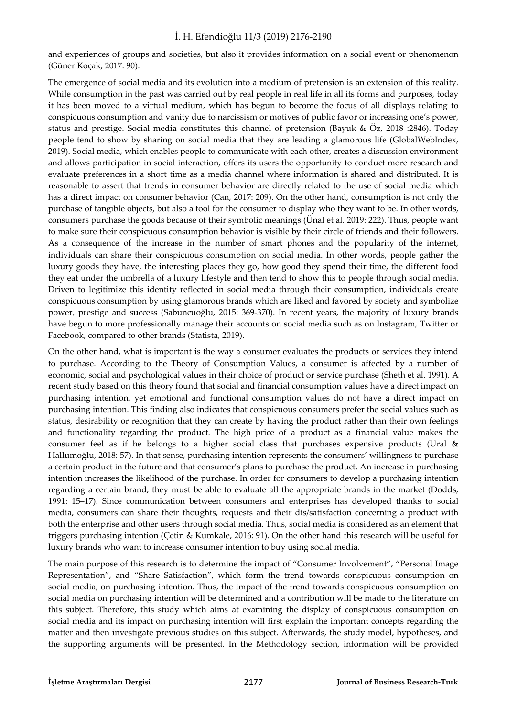and experiences of groups and societies, but also it provides information on a social event or phenomenon (Güner Koçak, 2017: 90).

The emergence of social media and its evolution into a medium of pretension is an extension of this reality. While consumption in the past was carried out by real people in real life in all its forms and purposes, today it has been moved to a virtual medium, which has begun to become the focus of all displays relating to conspicuous consumption and vanity due to narcissism or motives of public favor or increasing one's power, status and prestige. Social media constitutes this channel of pretension (Bayuk & Öz, 2018 :2846). Today people tend to show by sharing on social media that they are leading a glamorous life (GlobalWebIndex, 2019). Social media, which enables people to communicate with each other, creates a discussion environment and allows participation in social interaction, offers its users the opportunity to conduct more research and evaluate preferences in a short time as a media channel where information is shared and distributed. It is reasonable to assert that trends in consumer behavior are directly related to the use of social media which has a direct impact on consumer behavior (Can, 2017: 209). On the other hand, consumption is not only the purchase of tangible objects, but also a tool for the consumer to display who they want to be. In other words, consumers purchase the goods because of their symbolic meanings (Ünal et al. 2019: 222). Thus, people want to make sure their conspicuous consumption behavior is visible by their circle of friends and their followers. As a consequence of the increase in the number of smart phones and the popularity of the internet, individuals can share their conspicuous consumption on social media. In other words, people gather the luxury goods they have, the interesting places they go, how good they spend their time, the different food they eat under the umbrella of a luxury lifestyle and then tend to show this to people through social media. Driven to legitimize this identity reflected in social media through their consumption, individuals create conspicuous consumption by using glamorous brands which are liked and favored by society and symbolize power, prestige and success (Sabuncuoğlu, 2015: 369-370). In recent years, the majority of luxury brands have begun to more professionally manage their accounts on social media such as on Instagram, Twitter or Facebook, compared to other brands (Statista, 2019).

On the other hand, what is important is the way a consumer evaluates the products or services they intend to purchase. According to the Theory of Consumption Values, a consumer is affected by a number of economic, social and psychological values in their choice of product or service purchase (Sheth et al. 1991). A recent study based on this theory found that social and financial consumption values have a direct impact on purchasing intention, yet emotional and functional consumption values do not have a direct impact on purchasing intention. This finding also indicates that conspicuous consumers prefer the social values such as status, desirability or recognition that they can create by having the product rather than their own feelings and functionality regarding the product. The high price of a product as a financial value makes the consumer feel as if he belongs to a higher social class that purchases expensive products (Ural & Hallumoğlu, 2018: 57). In that sense, purchasing intention represents the consumers' willingness to purchase a certain product in the future and that consumer's plans to purchase the product. An increase in purchasing intention increases the likelihood of the purchase. In order for consumers to develop a purchasing intention regarding a certain brand, they must be able to evaluate all the appropriate brands in the market (Dodds, 1991: 15–17). Since communication between consumers and enterprises has developed thanks to social media, consumers can share their thoughts, requests and their dis/satisfaction concerning a product with both the enterprise and other users through social media. Thus, social media is considered as an element that triggers purchasing intention (Çetin & Kumkale, 2016: 91). On the other hand this research will be useful for luxury brands who want to increase consumer intention to buy using social media.

The main purpose of this research is to determine the impact of "Consumer Involvement", "Personal Image Representation", and "Share Satisfaction", which form the trend towards conspicuous consumption on social media, on purchasing intention. Thus, the impact of the trend towards conspicuous consumption on social media on purchasing intention will be determined and a contribution will be made to the literature on this subject. Therefore, this study which aims at examining the display of conspicuous consumption on social media and its impact on purchasing intention will first explain the important concepts regarding the matter and then investigate previous studies on this subject. Afterwards, the study model, hypotheses, and the supporting arguments will be presented. In the Methodology section, information will be provided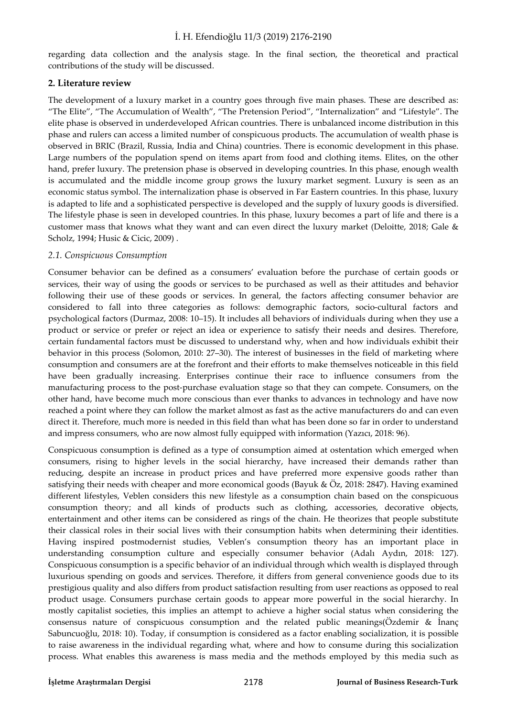regarding data collection and the analysis stage. In the final section, the theoretical and practical contributions of the study will be discussed.

#### **2. Literature review**

The development of a luxury market in a country goes through five main phases. These are described as: "The Elite", "The Accumulation of Wealth", "The Pretension Period", "Internalization" and "Lifestyle". The elite phase is observed in underdeveloped African countries. There is unbalanced income distribution in this phase and rulers can access a limited number of conspicuous products. The accumulation of wealth phase is observed in BRIC (Brazil, Russia, India and China) countries. There is economic development in this phase. Large numbers of the population spend on items apart from food and clothing items. Elites, on the other hand, prefer luxury. The pretension phase is observed in developing countries. In this phase, enough wealth is accumulated and the middle income group grows the luxury market segment. Luxury is seen as an economic status symbol. The internalization phase is observed in Far Eastern countries. In this phase, luxury is adapted to life and a sophisticated perspective is developed and the supply of luxury goods is diversified. The lifestyle phase is seen in developed countries. In this phase, luxury becomes a part of life and there is a customer mass that knows what they want and can even direct the luxury market (Deloitte, 2018; Gale & Scholz, 1994; Husic & Cicic, 2009) .

### *2.1. Conspicuous Consumption*

Consumer behavior can be defined as a consumers' evaluation before the purchase of certain goods or services, their way of using the goods or services to be purchased as well as their attitudes and behavior following their use of these goods or services. In general, the factors affecting consumer behavior are considered to fall into three categories as follows: demographic factors, socio-cultural factors and psychological factors (Durmaz, 2008: 10–15). It includes all behaviors of individuals during when they use a product or service or prefer or reject an idea or experience to satisfy their needs and desires. Therefore, certain fundamental factors must be discussed to understand why, when and how individuals exhibit their behavior in this process (Solomon, 2010: 27–30). The interest of businesses in the field of marketing where consumption and consumers are at the forefront and their efforts to make themselves noticeable in this field have been gradually increasing. Enterprises continue their race to influence consumers from the manufacturing process to the post-purchase evaluation stage so that they can compete. Consumers, on the other hand, have become much more conscious than ever thanks to advances in technology and have now reached a point where they can follow the market almost as fast as the active manufacturers do and can even direct it. Therefore, much more is needed in this field than what has been done so far in order to understand and impress consumers, who are now almost fully equipped with information (Yazıcı, 2018: 96).

Conspicuous consumption is defined as a type of consumption aimed at ostentation which emerged when consumers, rising to higher levels in the social hierarchy, have increased their demands rather than reducing, despite an increase in product prices and have preferred more expensive goods rather than satisfying their needs with cheaper and more economical goods (Bayuk & Öz, 2018: 2847). Having examined different lifestyles, Veblen considers this new lifestyle as a consumption chain based on the conspicuous consumption theory; and all kinds of products such as clothing, accessories, decorative objects, entertainment and other items can be considered as rings of the chain. He theorizes that people substitute their classical roles in their social lives with their consumption habits when determining their identities. Having inspired postmodernist studies, Veblen's consumption theory has an important place in understanding consumption culture and especially consumer behavior (Adalı Aydın, 2018: 127). Conspicuous consumption is a specific behavior of an individual through which wealth is displayed through luxurious spending on goods and services. Therefore, it differs from general convenience goods due to its prestigious quality and also differs from product satisfaction resulting from user reactions as opposed to real product usage. Consumers purchase certain goods to appear more powerful in the social hierarchy. In mostly capitalist societies, this implies an attempt to achieve a higher social status when considering the consensus nature of conspicuous consumption and the related public meanings(Özdemir & İnanç Sabuncuoğlu, 2018: 10). Today, if consumption is considered as a factor enabling socialization, it is possible to raise awareness in the individual regarding what, where and how to consume during this socialization process. What enables this awareness is mass media and the methods employed by this media such as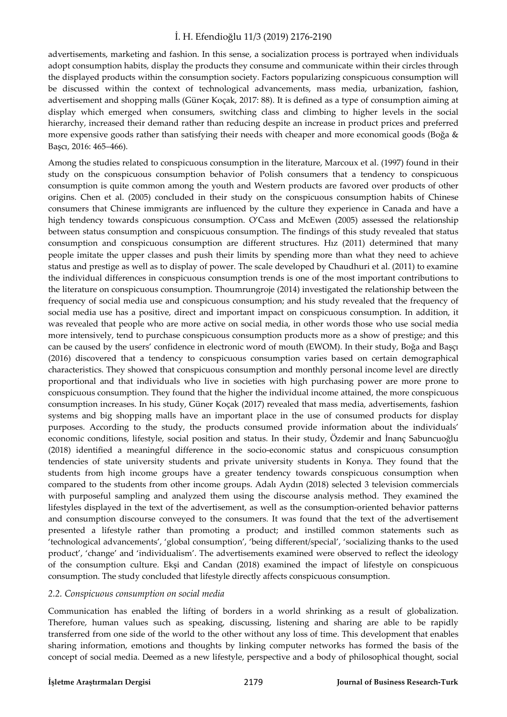advertisements, marketing and fashion. In this sense, a socialization process is portrayed when individuals adopt consumption habits, display the products they consume and communicate within their circles through the displayed products within the consumption society. Factors popularizing conspicuous consumption will be discussed within the context of technological advancements, mass media, urbanization, fashion, advertisement and shopping malls (Güner Koçak, 2017: 88). It is defined as a type of consumption aiming at display which emerged when consumers, switching class and climbing to higher levels in the social hierarchy, increased their demand rather than reducing despite an increase in product prices and preferred more expensive goods rather than satisfying their needs with cheaper and more economical goods (Boğa & Başcı, 2016: 465–466).

Among the studies related to conspicuous consumption in the literature, Marcoux et al. (1997) found in their study on the conspicuous consumption behavior of Polish consumers that a tendency to conspicuous consumption is quite common among the youth and Western products are favored over products of other origins. Chen et al. (2005) concluded in their study on the conspicuous consumption habits of Chinese consumers that Chinese immigrants are influenced by the culture they experience in Canada and have a high tendency towards conspicuous consumption. O'Cass and McEwen (2005) assessed the relationship between status consumption and conspicuous consumption. The findings of this study revealed that status consumption and conspicuous consumption are different structures. Hız (2011) determined that many people imitate the upper classes and push their limits by spending more than what they need to achieve status and prestige as well as to display of power. The scale developed by Chaudhuri et al. (2011) to examine the individual differences in conspicuous consumption trends is one of the most important contributions to the literature on conspicuous consumption. Thoumrungroje (2014) investigated the relationship between the frequency of social media use and conspicuous consumption; and his study revealed that the frequency of social media use has a positive, direct and important impact on conspicuous consumption. In addition, it was revealed that people who are more active on social media, in other words those who use social media more intensively, tend to purchase conspicuous consumption products more as a show of prestige; and this can be caused by the users' confidence in electronic word of mouth (EWOM). In their study, Boğa and Başçı (2016) discovered that a tendency to conspicuous consumption varies based on certain demographical characteristics. They showed that conspicuous consumption and monthly personal income level are directly proportional and that individuals who live in societies with high purchasing power are more prone to conspicuous consumption. They found that the higher the individual income attained, the more conspicuous consumption increases. In his study, Güner Koçak (2017) revealed that mass media, advertisements, fashion systems and big shopping malls have an important place in the use of consumed products for display purposes. According to the study, the products consumed provide information about the individuals' economic conditions, lifestyle, social position and status. In their study, Özdemir and İnanç Sabuncuoğlu (2018) identified a meaningful difference in the socio-economic status and conspicuous consumption tendencies of state university students and private university students in Konya. They found that the students from high income groups have a greater tendency towards conspicuous consumption when compared to the students from other income groups. Adalı Aydın (2018) selected 3 television commercials with purposeful sampling and analyzed them using the discourse analysis method. They examined the lifestyles displayed in the text of the advertisement, as well as the consumption-oriented behavior patterns and consumption discourse conveyed to the consumers. It was found that the text of the advertisement presented a lifestyle rather than promoting a product; and instilled common statements such as 'technological advancements', 'global consumption', 'being different/special', 'socializing thanks to the used product', 'change' and 'individualism'. The advertisements examined were observed to reflect the ideology of the consumption culture. Ekşi and Candan (2018) examined the impact of lifestyle on conspicuous consumption. The study concluded that lifestyle directly affects conspicuous consumption.

#### *2.2. Conspicuous consumption on social media*

Communication has enabled the lifting of borders in a world shrinking as a result of globalization. Therefore, human values such as speaking, discussing, listening and sharing are able to be rapidly transferred from one side of the world to the other without any loss of time. This development that enables sharing information, emotions and thoughts by linking computer networks has formed the basis of the concept of social media. Deemed as a new lifestyle, perspective and a body of philosophical thought, social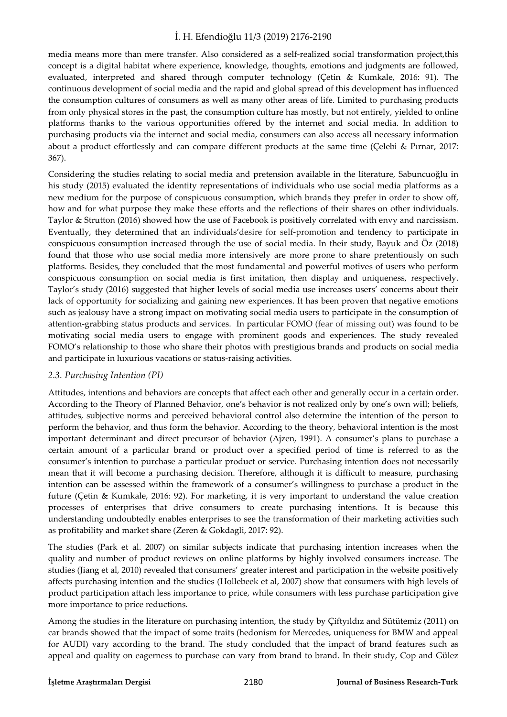media means more than mere transfer. Also considered as a self-realized social transformation project,this concept is a digital habitat where experience, knowledge, thoughts, emotions and judgments are followed, evaluated, interpreted and shared through computer technology (Çetin & Kumkale, 2016: 91). The continuous development of social media and the rapid and global spread of this development has influenced the consumption cultures of consumers as well as many other areas of life. Limited to purchasing products from only physical stores in the past, the consumption culture has mostly, but not entirely, yielded to online platforms thanks to the various opportunities offered by the internet and social media. In addition to purchasing products via the internet and social media, consumers can also access all necessary information about a product effortlessly and can compare different products at the same time (Çelebi & Pırnar, 2017: 367).

Considering the studies relating to social media and pretension available in the literature, Sabuncuoğlu in his study (2015) evaluated the identity representations of individuals who use social media platforms as a new medium for the purpose of conspicuous consumption, which brands they prefer in order to show off, how and for what purpose they make these efforts and the reflections of their shares on other individuals. Taylor & Strutton (2016) showed how the use of Facebook is positively correlated with envy and narcissism. Eventually, they determined that an individuals'desire for self-promotion and tendency to participate in conspicuous consumption increased through the use of social media. In their study, Bayuk and Öz (2018) found that those who use social media more intensively are more prone to share pretentiously on such platforms. Besides, they concluded that the most fundamental and powerful motives of users who perform conspicuous consumption on social media is first imitation, then display and uniqueness, respectively. Taylor's study (2016) suggested that higher levels of social media use increases users' concerns about their lack of opportunity for socializing and gaining new experiences. It has been proven that negative emotions such as jealousy have a strong impact on motivating social media users to participate in the consumption of attention-grabbing status products and services. In particular FOMO (fear of missing out) was found to be motivating social media users to engage with prominent goods and experiences. The study revealed FOMO's relationship to those who share their photos with prestigious brands and products on social media and participate in luxurious vacations or status-raising activities.

# *2.3. Purchasing Intention (PI)*

Attitudes, intentions and behaviors are concepts that affect each other and generally occur in a certain order. According to the Theory of Planned Behavior, one's behavior is not realized only by one's own will; beliefs, attitudes, subjective norms and perceived behavioral control also determine the intention of the person to perform the behavior, and thus form the behavior. According to the theory, behavioral intention is the most important determinant and direct precursor of behavior (Ajzen, 1991). A consumer's plans to purchase a certain amount of a particular brand or product over a specified period of time is referred to as the consumer's intention to purchase a particular product or service. Purchasing intention does not necessarily mean that it will become a purchasing decision. Therefore, although it is difficult to measure, purchasing intention can be assessed within the framework of a consumer's willingness to purchase a product in the future (Çetin & Kumkale, 2016: 92). For marketing, it is very important to understand the value creation processes of enterprises that drive consumers to create purchasing intentions. It is because this understanding undoubtedly enables enterprises to see the transformation of their marketing activities such as profitability and market share (Zeren & Gokdagli, 2017: 92).

The studies (Park et al. 2007) on similar subjects indicate that purchasing intention increases when the quality and number of product reviews on online platforms by highly involved consumers increase. The studies (Jiang et al, 2010) revealed that consumers' greater interest and participation in the website positively affects purchasing intention and the studies (Hollebeek et al, 2007) show that consumers with high levels of product participation attach less importance to price, while consumers with less purchase participation give more importance to price reductions.

Among the studies in the literature on purchasing intention, the study by Çiftyıldız and Sütütemiz (2011) on car brands showed that the impact of some traits (hedonism for Mercedes, uniqueness for BMW and appeal for AUDI) vary according to the brand. The study concluded that the impact of brand features such as appeal and quality on eagerness to purchase can vary from brand to brand. In their study, Cop and Gülez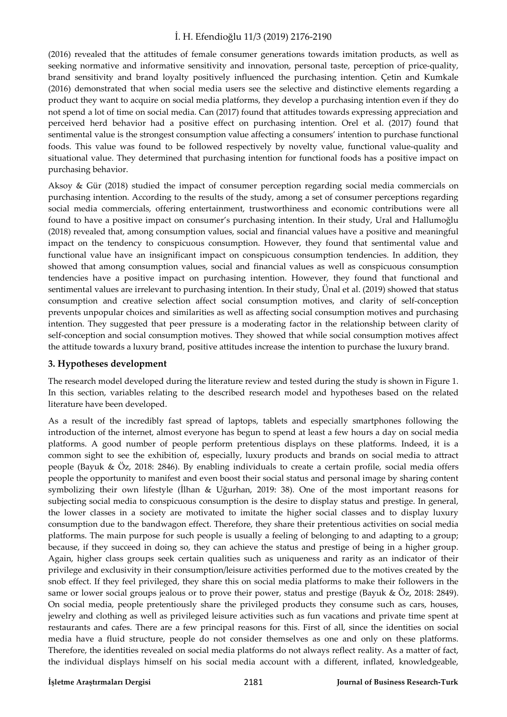(2016) revealed that the attitudes of female consumer generations towards imitation products, as well as seeking normative and informative sensitivity and innovation, personal taste, perception of price-quality, brand sensitivity and brand loyalty positively influenced the purchasing intention. Çetin and Kumkale (2016) demonstrated that when social media users see the selective and distinctive elements regarding a product they want to acquire on social media platforms, they develop a purchasing intention even if they do not spend a lot of time on social media. Can (2017) found that attitudes towards expressing appreciation and perceived herd behavior had a positive effect on purchasing intention. Orel et al. (2017) found that sentimental value is the strongest consumption value affecting a consumers' intention to purchase functional foods. This value was found to be followed respectively by novelty value, functional value-quality and situational value. They determined that purchasing intention for functional foods has a positive impact on purchasing behavior.

Aksoy & Gür (2018) studied the impact of consumer perception regarding social media commercials on purchasing intention. According to the results of the study, among a set of consumer perceptions regarding social media commercials, offering entertainment, trustworthiness and economic contributions were all found to have a positive impact on consumer's purchasing intention. In their study, Ural and Hallumoğlu (2018) revealed that, among consumption values, social and financial values have a positive and meaningful impact on the tendency to conspicuous consumption. However, they found that sentimental value and functional value have an insignificant impact on conspicuous consumption tendencies. In addition, they showed that among consumption values, social and financial values as well as conspicuous consumption tendencies have a positive impact on purchasing intention. However, they found that functional and sentimental values are irrelevant to purchasing intention. In their study, Ünal et al. (2019) showed that status consumption and creative selection affect social consumption motives, and clarity of self-conception prevents unpopular choices and similarities as well as affecting social consumption motives and purchasing intention. They suggested that peer pressure is a moderating factor in the relationship between clarity of self-conception and social consumption motives. They showed that while social consumption motives affect the attitude towards a luxury brand, positive attitudes increase the intention to purchase the luxury brand.

# **3. Hypotheses development**

The research model developed during the literature review and tested during the study is shown in Figure 1. In this section, variables relating to the described research model and hypotheses based on the related literature have been developed.

As a result of the incredibly fast spread of laptops, tablets and especially smartphones following the introduction of the internet, almost everyone has begun to spend at least a few hours a day on social media platforms. A good number of people perform pretentious displays on these platforms. Indeed, it is a common sight to see the exhibition of, especially, luxury products and brands on social media to attract people (Bayuk & Öz, 2018: 2846). By enabling individuals to create a certain profile, social media offers people the opportunity to manifest and even boost their social status and personal image by sharing content symbolizing their own lifestyle (İlhan & Uğurhan, 2019: 38). One of the most important reasons for subjecting social media to conspicuous consumption is the desire to display status and prestige. In general, the lower classes in a society are motivated to imitate the higher social classes and to display luxury consumption due to the bandwagon effect. Therefore, they share their pretentious activities on social media platforms. The main purpose for such people is usually a feeling of belonging to and adapting to a group; because, if they succeed in doing so, they can achieve the status and prestige of being in a higher group. Again, higher class groups seek certain qualities such as uniqueness and rarity as an indicator of their privilege and exclusivity in their consumption/leisure activities performed due to the motives created by the snob effect. If they feel privileged, they share this on social media platforms to make their followers in the same or lower social groups jealous or to prove their power, status and prestige (Bayuk & Öz, 2018: 2849). On social media, people pretentiously share the privileged products they consume such as cars, houses, jewelry and clothing as well as privileged leisure activities such as fun vacations and private time spent at restaurants and cafes. There are a few principal reasons for this. First of all, since the identities on social media have a fluid structure, people do not consider themselves as one and only on these platforms. Therefore, the identities revealed on social media platforms do not always reflect reality. As a matter of fact, the individual displays himself on his social media account with a different, inflated, knowledgeable,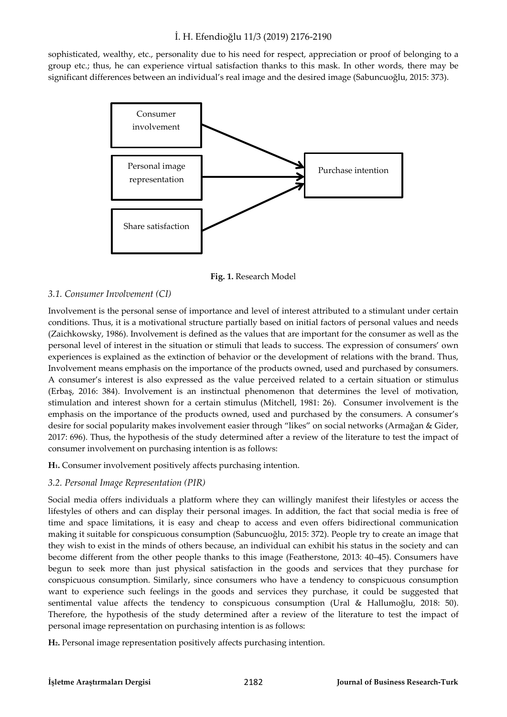sophisticated, wealthy, etc., personality due to his need for respect, appreciation or proof of belonging to a group etc.; thus, he can experience virtual satisfaction thanks to this mask. In other words, there may be significant differences between an individual's real image and the desired image (Sabuncuoğlu, 2015: 373).



**Fig. 1.** Research Model

### *3.1. Consumer Involvement (CI)*

Involvement is the personal sense of importance and level of interest attributed to a stimulant under certain conditions. Thus, it is a motivational structure partially based on initial factors of personal values and needs (Zaichkowsky, 1986). Involvement is defined as the values that are important for the consumer as well as the personal level of interest in the situation or stimuli that leads to success. The expression of consumers' own experiences is explained as the extinction of behavior or the development of relations with the brand. Thus, Involvement means emphasis on the importance of the products owned, used and purchased by consumers. A consumer's interest is also expressed as the value perceived related to a certain situation or stimulus (Erbaş, 2016: 384). Involvement is an instinctual phenomenon that determines the level of motivation, stimulation and interest shown for a certain stimulus (Mitchell, 1981: 26). Consumer involvement is the emphasis on the importance of the products owned, used and purchased by the consumers. A consumer's desire for social popularity makes involvement easier through "likes" on social networks (Armağan & Gider, 2017: 696). Thus, the hypothesis of the study determined after a review of the literature to test the impact of consumer involvement on purchasing intention is as follows:

**H1.** Consumer involvement positively affects purchasing intention.

#### *3.2. Personal Image Representation (PIR)*

Social media offers individuals a platform where they can willingly manifest their lifestyles or access the lifestyles of others and can display their personal images. In addition, the fact that social media is free of time and space limitations, it is easy and cheap to access and even offers bidirectional communication making it suitable for conspicuous consumption (Sabuncuoğlu, 2015: 372). People try to create an image that they wish to exist in the minds of others because, an individual can exhibit his status in the society and can become different from the other people thanks to this image (Featherstone, 2013: 40–45). Consumers have begun to seek more than just physical satisfaction in the goods and services that they purchase for conspicuous consumption. Similarly, since consumers who have a tendency to conspicuous consumption want to experience such feelings in the goods and services they purchase, it could be suggested that sentimental value affects the tendency to conspicuous consumption (Ural & Hallumoğlu, 2018: 50). Therefore, the hypothesis of the study determined after a review of the literature to test the impact of personal image representation on purchasing intention is as follows:

**H2.** Personal image representation positively affects purchasing intention.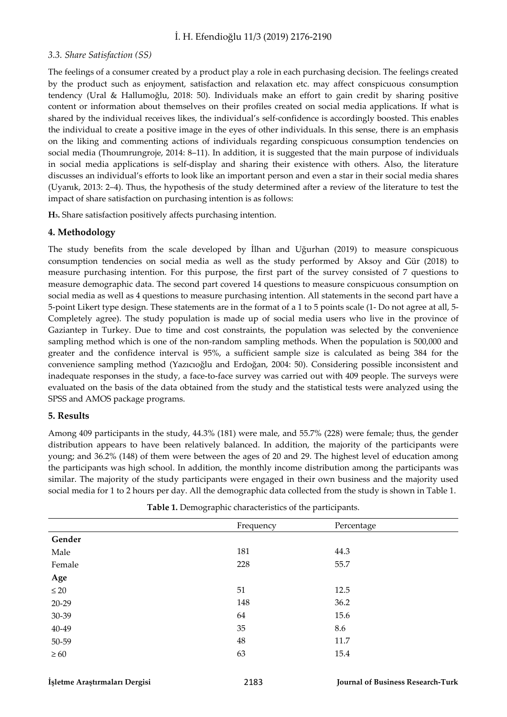#### *3.3. Share Satisfaction (SS)*

The feelings of a consumer created by a product play a role in each purchasing decision. The feelings created by the product such as enjoyment, satisfaction and relaxation etc. may affect conspicuous consumption tendency (Ural & Hallumoğlu, 2018: 50). Individuals make an effort to gain credit by sharing positive content or information about themselves on their profiles created on social media applications. If what is shared by the individual receives likes, the individual's self-confidence is accordingly boosted. This enables the individual to create a positive image in the eyes of other individuals. In this sense, there is an emphasis on the liking and commenting actions of individuals regarding conspicuous consumption tendencies on social media (Thoumrungroje, 2014: 8–11). In addition, it is suggested that the main purpose of individuals in social media applications is self-display and sharing their existence with others. Also, the literature discusses an individual's efforts to look like an important person and even a star in their social media shares (Uyanık, 2013: 2–4). Thus, the hypothesis of the study determined after a review of the literature to test the impact of share satisfaction on purchasing intention is as follows:

**H3.** Share satisfaction positively affects purchasing intention.

# **4. Methodology**

The study benefits from the scale developed by İlhan and Uğurhan (2019) to measure conspicuous consumption tendencies on social media as well as the study performed by Aksoy and Gür (2018) to measure purchasing intention. For this purpose, the first part of the survey consisted of 7 questions to measure demographic data. The second part covered 14 questions to measure conspicuous consumption on social media as well as 4 questions to measure purchasing intention. All statements in the second part have a 5-point Likert type design. These statements are in the format of a 1 to 5 points scale (1- Do not agree at all, 5- Completely agree). The study population is made up of social media users who live in the province of Gaziantep in Turkey. Due to time and cost constraints, the population was selected by the convenience sampling method which is one of the non-random sampling methods. When the population is 500,000 and greater and the confidence interval is 95%, a sufficient sample size is calculated as being 384 for the convenience sampling method (Yazıcıoğlu and Erdoğan, 2004: 50). Considering possible inconsistent and inadequate responses in the study, a face-to-face survey was carried out with 409 people. The surveys were evaluated on the basis of the data obtained from the study and the statistical tests were analyzed using the SPSS and AMOS package programs.

#### **5. Results**

Among 409 participants in the study, 44.3% (181) were male, and 55.7% (228) were female; thus, the gender distribution appears to have been relatively balanced. In addition, the majority of the participants were young; and 36.2% (148) of them were between the ages of 20 and 29. The highest level of education among the participants was high school. In addition, the monthly income distribution among the participants was similar. The majority of the study participants were engaged in their own business and the majority used social media for 1 to 2 hours per day. All the demographic data collected from the study is shown in Table 1.

| Frequency | Percentage |
|-----------|------------|
|           |            |
| 181       | 44.3       |
| 228       | 55.7       |
|           |            |
| 51        | 12.5       |
| 148       | 36.2       |
| 64        | 15.6       |
| 35        | 8.6        |
| 48        | 11.7       |
| 63        | 15.4       |
|           |            |

**Table 1.** Demographic characteristics of the participants.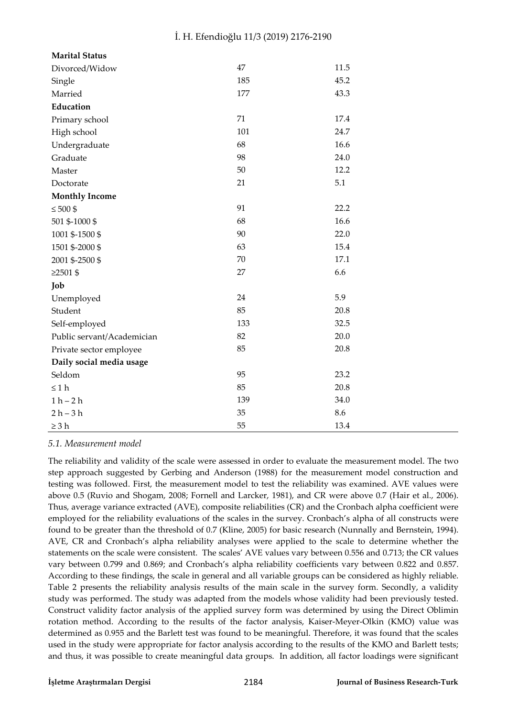| <b>Marital Status</b>      |     |      |
|----------------------------|-----|------|
| Divorced/Widow             | 47  | 11.5 |
| Single                     | 185 | 45.2 |
| Married                    | 177 | 43.3 |
| Education                  |     |      |
| Primary school             | 71  | 17.4 |
| High school                | 101 | 24.7 |
| Undergraduate              | 68  | 16.6 |
| Graduate                   | 98  | 24.0 |
| Master                     | 50  | 12.2 |
| Doctorate                  | 21  | 5.1  |
| <b>Monthly Income</b>      |     |      |
| $\leq 500$ \$              | 91  | 22.2 |
| 501 \$-1000 \$             | 68  | 16.6 |
| 1001 \$-1500 \$            | 90  | 22.0 |
| 1501 \$-2000 \$            | 63  | 15.4 |
| 2001 \$-2500 \$            | 70  | 17.1 |
| $≥2501$ \$                 | 27  | 6.6  |
| Job                        |     |      |
| Unemployed                 | 24  | 5.9  |
| Student                    | 85  | 20.8 |
| Self-employed              | 133 | 32.5 |
| Public servant/Academician | 82  | 20.0 |
| Private sector employee    | 85  | 20.8 |
| Daily social media usage   |     |      |
| Seldom                     | 95  | 23.2 |
| $\leq 1$ h                 | 85  | 20.8 |
| $1 h - 2 h$                | 139 | 34.0 |
| $2h-3h$                    | 35  | 8.6  |
| $\geq 3 h$                 | 55  | 13.4 |

# *5.1. Measurement model*

The reliability and validity of the scale were assessed in order to evaluate the measurement model. The two step approach suggested by Gerbing and Anderson (1988) for the measurement model construction and testing was followed. First, the measurement model to test the reliability was examined. AVE values were above 0.5 (Ruvio and Shogam, 2008; Fornell and Larcker, 1981), and CR were above 0.7 (Hair et al., 2006). Thus, average variance extracted (AVE), composite reliabilities (CR) and the Cronbach alpha coefficient were employed for the reliability evaluations of the scales in the survey. Cronbach's alpha of all constructs were found to be greater than the threshold of 0.7 (Kline, 2005) for basic research (Nunnally and Bernstein, 1994). AVE, CR and Cronbach's alpha reliability analyses were applied to the scale to determine whether the statements on the scale were consistent. The scales' AVE values vary between 0.556 and 0.713; the CR values vary between 0.799 and 0.869; and Cronbach's alpha reliability coefficients vary between 0.822 and 0.857. According to these findings, the scale in general and all variable groups can be considered as highly reliable. Table 2 presents the reliability analysis results of the main scale in the survey form. Secondly, a validity study was performed. The study was adapted from the models whose validity had been previously tested. Construct validity factor analysis of the applied survey form was determined by using the Direct Oblimin rotation method. According to the results of the factor analysis, Kaiser-Meyer-Olkin (KMO) value was determined as 0.955 and the Barlett test was found to be meaningful. Therefore, it was found that the scales used in the study were appropriate for factor analysis according to the results of the KMO and Barlett tests; and thus, it was possible to create meaningful data groups. In addition, all factor loadings were significant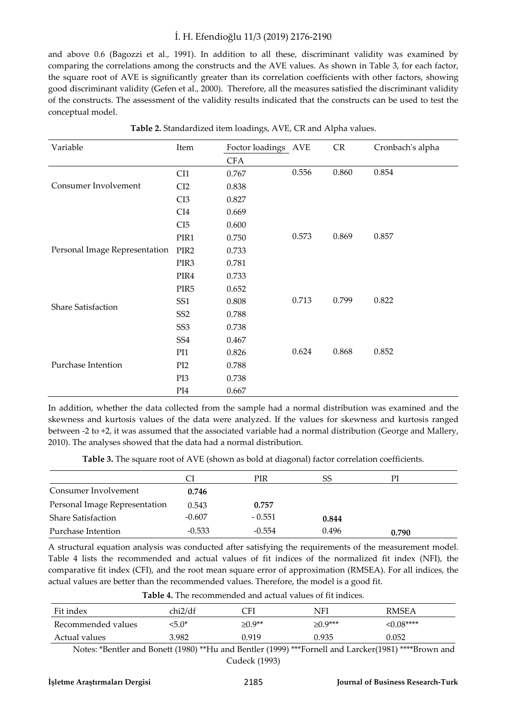and above 0.6 (Bagozzi et al., 1991). In addition to all these, discriminant validity was examined by comparing the correlations among the constructs and the AVE values. As shown in Table 3, for each factor, the square root of AVE is significantly greater than its correlation coefficients with other factors, showing good discriminant validity (Gefen et al., 2000). Therefore, all the measures satisfied the discriminant validity of the constructs. The assessment of the validity results indicated that the constructs can be used to test the conceptual model.

| Variable                      | Item             | Foctor loadings AVE |       | ${\sf CR}$ | Cronbach's alpha |
|-------------------------------|------------------|---------------------|-------|------------|------------------|
|                               |                  | <b>CFA</b>          |       |            |                  |
|                               | CI1              | 0.767               | 0.556 | 0.860      | 0.854            |
| Consumer Involvement          | CI2              | 0.838               |       |            |                  |
|                               | CI <sub>3</sub>  | 0.827               |       |            |                  |
|                               | CI <sub>4</sub>  | 0.669               |       |            |                  |
|                               | CI5              | 0.600               |       |            |                  |
|                               | PIR1             | 0.750               | 0.573 | 0.869      | 0.857            |
| Personal Image Representation | PIR <sub>2</sub> | 0.733               |       |            |                  |
|                               | PIR <sub>3</sub> | 0.781               |       |            |                  |
|                               | PIR4             | 0.733               |       |            |                  |
|                               | PIR <sub>5</sub> | 0.652               |       |            |                  |
| <b>Share Satisfaction</b>     | SS <sub>1</sub>  | 0.808               | 0.713 | 0.799      | 0.822            |
|                               | SS <sub>2</sub>  | 0.788               |       |            |                  |
|                               | SS <sub>3</sub>  | 0.738               |       |            |                  |
|                               | SS <sub>4</sub>  | 0.467               |       |            |                  |
|                               | PI1              | 0.826               | 0.624 | 0.868      | 0.852            |
| Purchase Intention            | PI <sub>2</sub>  | 0.788               |       |            |                  |
|                               | PI3              | 0.738               |       |            |                  |
|                               | PI4              | 0.667               |       |            |                  |

**Table 2.** Standardized item loadings, AVE, CR and Alpha values.

In addition, whether the data collected from the sample had a normal distribution was examined and the skewness and kurtosis values of the data were analyzed. If the values for skewness and kurtosis ranged between -2 to +2, it was assumed that the associated variable had a normal distribution (George and Mallery, 2010). The analyses showed that the data had a normal distribution.

**Table 3.** The square root of AVE (shown as bold at diagonal) factor correlation coefficients.

|                               |          | PIR      | SS    | РI    |
|-------------------------------|----------|----------|-------|-------|
| Consumer Involvement          | 0.746    |          |       |       |
| Personal Image Representation | 0.543    | 0.757    |       |       |
| <b>Share Satisfaction</b>     | $-0.607$ | $-0.551$ | 0.844 |       |
| Purchase Intention            | $-0.533$ | $-0.554$ | 0.496 | 0.790 |

A structural equation analysis was conducted after satisfying the requirements of the measurement model. Table 4 lists the recommended and actual values of fit indices of the normalized fit index (NFI), the comparative fit index (CFI), and the root mean square error of approximation (RMSEA). For all indices, the actual values are better than the recommended values. Therefore, the model is a good fit.

**Table 4.** The recommended and actual values of fit indices.

| Fit index          | chi2/df | CFI                   | NFI        | <b>RMSEA</b>     |
|--------------------|---------|-----------------------|------------|------------------|
| Recommended values | $5.0*$  | $≥$ 0.9 <sup>**</sup> | $≥$ 0.9*** | $\leq 0.08$ **** |
| Actual values      | 3.982   | 0.919                 | 0.935      | 0.052            |

 Notes: \*Bentler and Bonett (1980) \*\*Hu and Bentler (1999) \*\*\*Fornell and Larcker(1981) \*\*\*\*Brown and Cudeck (1993)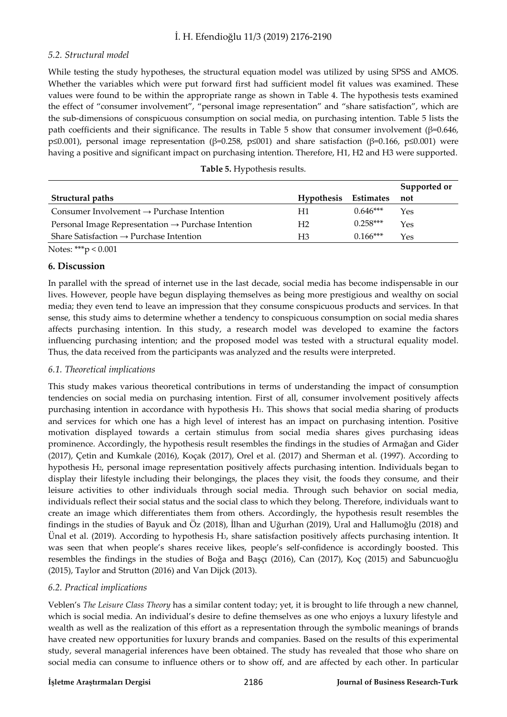### *5.2. Structural model*

While testing the study hypotheses, the structural equation model was utilized by using SPSS and AMOS. Whether the variables which were put forward first had sufficient model fit values was examined. These values were found to be within the appropriate range as shown in Table 4. The hypothesis tests examined the effect of "consumer involvement", "personal image representation" and "share satisfaction", which are the sub-dimensions of conspicuous consumption on social media, on purchasing intention. Table 5 lists the path coefficients and their significance. The results in Table 5 show that consumer involvement (β=0.646, p≤0.001), personal image representation (β=0.258, p≤001) and share satisfaction (β=0.166, p≤0.001) were having a positive and significant impact on purchasing intention. Therefore, H1, H2 and H3 were supported.

|  |  |  |  | Table 5. Hypothesis results. |  |
|--|--|--|--|------------------------------|--|
|--|--|--|--|------------------------------|--|

|                                                                |                      |            | Supported or |
|----------------------------------------------------------------|----------------------|------------|--------------|
| Structural paths                                               | Hypothesis Estimates |            | not          |
| Consumer Involvement $\rightarrow$ Purchase Intention          | H1                   | $0.646***$ | Yes          |
| Personal Image Representation $\rightarrow$ Purchase Intention | H2                   | $0.258***$ | Yes          |
| Share Satisfaction $\rightarrow$ Purchase Intention            | H3                   | $0.166***$ | Yes          |

Notes: \*\*\*p < 0.001

### **6. Discussion**

In parallel with the spread of internet use in the last decade, social media has become indispensable in our lives. However, people have begun displaying themselves as being more prestigious and wealthy on social media; they even tend to leave an impression that they consume conspicuous products and services. In that sense, this study aims to determine whether a tendency to conspicuous consumption on social media shares affects purchasing intention. In this study, a research model was developed to examine the factors influencing purchasing intention; and the proposed model was tested with a structural equality model. Thus, the data received from the participants was analyzed and the results were interpreted.

#### *6.1. Theoretical implications*

This study makes various theoretical contributions in terms of understanding the impact of consumption tendencies on social media on purchasing intention. First of all, consumer involvement positively affects purchasing intention in accordance with hypothesis H1. This shows that social media sharing of products and services for which one has a high level of interest has an impact on purchasing intention. Positive motivation displayed towards a certain stimulus from social media shares gives purchasing ideas prominence. Accordingly, the hypothesis result resembles the findings in the studies of Armağan and Gider (2017), Çetin and Kumkale (2016), Koçak (2017), Orel et al. (2017) and Sherman et al. (1997). According to hypothesis H2, personal image representation positively affects purchasing intention. Individuals began to display their lifestyle including their belongings, the places they visit, the foods they consume, and their leisure activities to other individuals through social media. Through such behavior on social media, individuals reflect their social status and the social class to which they belong. Therefore, individuals want to create an image which differentiates them from others. Accordingly, the hypothesis result resembles the findings in the studies of Bayuk and Öz (2018), İlhan and Uğurhan (2019), Ural and Hallumoğlu (2018) and Ünal et al. (2019). According to hypothesis H3, share satisfaction positively affects purchasing intention. It was seen that when people's shares receive likes, people's self-confidence is accordingly boosted. This resembles the findings in the studies of Boğa and Başçı (2016), Can (2017), Koç (2015) and Sabuncuoğlu (2015), Taylor and Strutton (2016) and Van Dijck (2013).

# *6.2. Practical implications*

Veblen's *The Leisure Class Theory* has a similar content today; yet, it is brought to life through a new channel, which is social media. An individual's desire to define themselves as one who enjoys a luxury lifestyle and wealth as well as the realization of this effort as a representation through the symbolic meanings of brands have created new opportunities for luxury brands and companies. Based on the results of this experimental study, several managerial inferences have been obtained. The study has revealed that those who share on social media can consume to influence others or to show off, and are affected by each other. In particular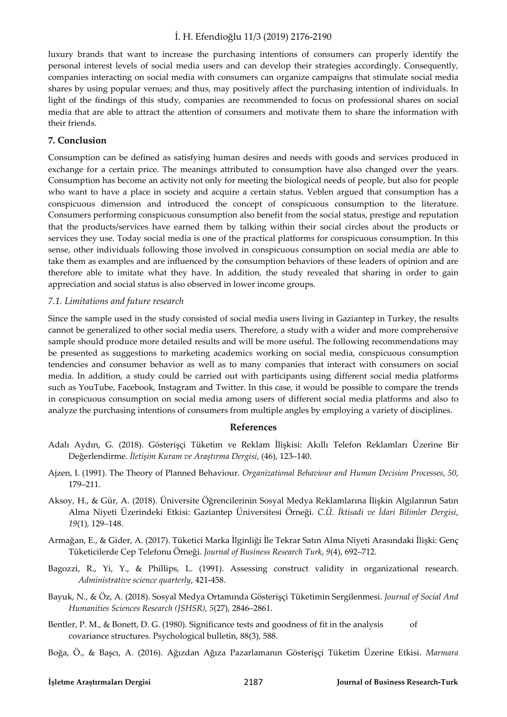luxury brands that want to increase the purchasing intentions of consumers can properly identify the personal interest levels of social media users and can develop their strategies accordingly. Consequently, companies interacting on social media with consumers can organize campaigns that stimulate social media shares by using popular venues; and thus, may positively affect the purchasing intention of individuals. In light of the findings of this study, companies are recommended to focus on professional shares on social media that are able to attract the attention of consumers and motivate them to share the information with their friends.

# **7. Conclusion**

Consumption can be defined as satisfying human desires and needs with goods and services produced in exchange for a certain price. The meanings attributed to consumption have also changed over the years. Consumption has become an activity not only for meeting the biological needs of people, but also for people who want to have a place in society and acquire a certain status. Veblen argued that consumption has a conspicuous dimension and introduced the concept of conspicuous consumption to the literature. Consumers performing conspicuous consumption also benefit from the social status, prestige and reputation that the products/services have earned them by talking within their social circles about the products or services they use. Today social media is one of the practical platforms for conspicuous consumption. In this sense, other individuals following those involved in conspicuous consumption on social media are able to take them as examples and are influenced by the consumption behaviors of these leaders of opinion and are therefore able to imitate what they have. In addition, the study revealed that sharing in order to gain appreciation and social status is also observed in lower income groups.

# *7.1. Limitations and future research*

Since the sample used in the study consisted of social media users living in Gaziantep in Turkey, the results cannot be generalized to other social media users. Therefore, a study with a wider and more comprehensive sample should produce more detailed results and will be more useful. The following recommendations may be presented as suggestions to marketing academics working on social media, conspicuous consumption tendencies and consumer behavior as well as to many companies that interact with consumers on social media. In addition, a study could be carried out with participants using different social media platforms such as YouTube, Facebook, Instagram and Twitter. In this case, it would be possible to compare the trends in conspicuous consumption on social media among users of different social media platforms and also to analyze the purchasing intentions of consumers from multiple angles by employing a variety of disciplines.

#### **References**

- Adalı Aydın, G. (2018). Gösterişçi Tüketim ve Reklam İlişkisi: Akıllı Telefon Reklamları Üzerine Bir Değerlendirme. *İletişim Kuram ve Araştırma Dergisi*, (46), 123–140.
- Ajzen, I. (1991). The Theory of Planned Behaviour. *Organizational Behaviour and Human Decision Processes*, *50*, 179–211.
- Aksoy, H., & Gür, A. (2018). Üniversite Öğrencilerinin Sosyal Medya Reklamlarına İlişkin Algılarının Satın Alma Niyeti Üzerindeki Etkisi: Gaziantep Üniversitesi Örneği. *C.Ü. İktisadi ve İdari Bilimler Dergisi*, *19*(1), 129–148.
- Armağan, E., & Gider, A. (2017). Tüketici Marka İlginliği İle Tekrar Satın Alma Niyeti Arasındaki İlişki: Genç Tüketicilerde Cep Telefonu Örneği. *Journal of Business Research Turk*, *9*(4), 692–712.
- Bagozzi, R., Yi, Y., & Phillips, L. (1991). Assessing construct validity in organizational research. *Administrative science quarterly*, 421-458.
- Bayuk, N., & Öz, A. (2018). Sosyal Medya Ortamında Gösterişçi Tüketimin Sergilenmesi. *Journal of Social And Humanities Sciences Research (JSHSR)*, *5*(27), 2846–2861.
- Bentler, P. M., & Bonett, D. G. (1980). Significance tests and goodness of fit in the analysis of covariance structures. Psychological bulletin, 88(3), 588.
- Boğa, Ö., & Başcı, A. (2016). Ağızdan Ağıza Pazarlamanın Gösterişçi Tüketim Üzerine Etkisi. *Marmara*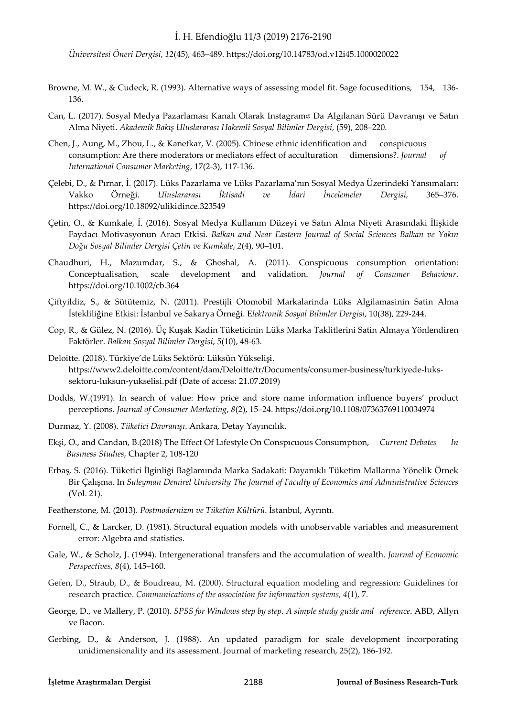*Üniversitesi Öneri Dergisi*, *12*(45), 463–489. https://doi.org/10.14783/od.v12i45.1000020022

- Browne, M. W., & Cudeck, R. (1993). Alternative ways of assessing model fit. Sage focuseditions, 154, 136- 136.
- Can, L. (2017). Sosyal Medya Pazarlaması Kanalı Olarak Instagram® Da Algılanan Sürü Davranışı ve Satın Alma Niyeti. *Akademik Bakış Uluslararası Hakemli Sosyal Bilimler Dergisi*, (59), 208–220.
- Chen, J., Aung, M., Zhou, L., & Kanetkar, V. (2005). Chinese ethnic identification and conspicuous consumption: Are there moderators or mediators effect of acculturation dimensions?. *Journal of International Consumer Marketing*, 17(2-3), 117-136.
- Çelebi, D., & Pırnar, İ. (2017). Lüks Pazarlama ve Lüks Pazarlama'nın Sosyal Medya Üzerindeki Yansımaları: Vakko Örneği. *Uluslararası İktisadi ve İdari İncelemeler Dergisi*, 365–376. https://doi.org/10.18092/ulikidince.323549
- Çetin, O., & Kumkale, İ. (2016). Sosyal Medya Kullanım Düzeyi ve Satın Alma Niyeti Arasındaki İlişkide Faydacı Motivasyonun Aracı Etkisi. *Balkan and Near Eastern Journal of Social Sciences Balkan ve Yakın Doğu Sosyal Bilimler Dergisi Çetin ve Kumkale*, *2*(4), 90–101.
- Chaudhuri, H., Mazumdar, S., & Ghoshal, A. (2011). Conspicuous consumption orientation: Conceptualisation, scale development and validation. *Journal of Consumer Behaviour*. https://doi.org/10.1002/cb.364
- Çiftyildiz, S., & Sütütemiz, N. (2011). Prestijli Otomobil Markalarinda Lüks Algilamasinin Satin Alma İstekliliğine Etkisi: İstanbul ve Sakarya Örneği. E*lektronik Sosyal Bilimler Dergisi*, 10(38), 229-244.
- Cop, R., & Gülez, N. (2016). Üç Kuşak Kadin Tüketicinin Lüks Marka Taklitlerini Satin Almaya Yönlendiren Faktörler. *Balkan Sosyal Bilimler Dergisi*, 5(10), 48-63.
- Deloitte. (2018). Türkiye'de Lüks Sektörü: Lüksün Yükselişi. https://www2.deloitte.com/content/dam/Deloitte/tr/Documents/consumer-business/turkiyede-lukssektoru-luksun-yukselisi.pdf (Date of access: 21.07.2019)
- Dodds, W.(1991). In search of value: How price and store name information influence buyers' product perceptions. *Journal of Consumer Marketing*, *8*(2), 15–24. https://doi.org/10.1108/07363769110034974
- Durmaz, Y. (2008). *Tüketici Davranışı*. Ankara, Detay Yayıncılık.
- Ekşi, O., and Candan, B.(2018) The Effect Of Lıfestyle On Conspıcuous Consumptıon, *Current Debates In Busıness Studıes*, Chapter 2, 108-120
- Erbaş, S. (2016). Tüketici İlginliği Bağlamında Marka Sadakati: Dayanıklı Tüketim Mallarına Yönelik Örnek Bir Çalışma. In *Suleyman Demirel University The Journal of Faculty of Economics and Administrative Sciences* (Vol. 21).
- Featherstone, M. (2013). *Postmodernizm ve Tüketim Kültürü*. İstanbul, Ayrıntı.
- Fornell, C., & Larcker, D. (1981). Structural equation models with unobservable variables and measurement error: Algebra and statistics.
- Gale, W., & Scholz, J. (1994). Intergenerational transfers and the accumulation of wealth. *Journal of Economic Perspectives*, *8*(4), 145–160.
- Gefen, D., Straub, D., & Boudreau, M. (2000). Structural equation modeling and regression: Guidelines for research practice. *Communications of the association for information systems*, *4*(1), 7.
- George, D., ve Mallery, P. (2010). *SPSS for Windows step by step. A simple study guide and reference*. ABD, Allyn ve Bacon.
- Gerbing, D., & Anderson, J. (1988). An updated paradigm for scale development incorporating unidimensionality and its assessment. Journal of marketing research, 25(2), 186-192.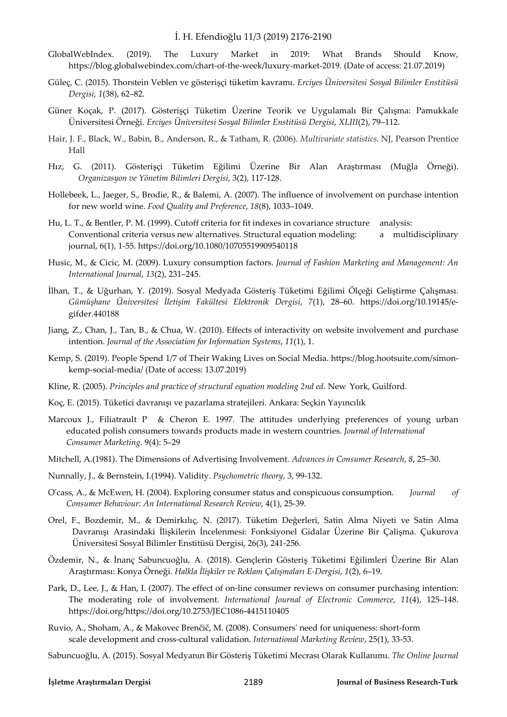- GlobalWebIndex. (2019). The Luxury Market in 2019: What Brands Should Know, https://blog.globalwebindex.com/chart-of-the-week/luxury-market-2019. (Date of access: 21.07.2019)
- Güleç, C. (2015). Thorstein Veblen ve gösterişçi tüketim kavramı. *Erciyes Üniversitesi Sosyal Bilimler Enstitüsü Dergisi*, *1*(38), 62–82.
- Güner Koçak, P. (2017). Gösterişçi Tüketim Üzerine Teorik ve Uygulamalı Bir Çalışma: Pamukkale Üniversitesi Örneği. *Erciyes Üniversitesi Sosyal Bilimler Enstitüsü Dergisi*, *XLIII*(2), 79–112.
- Hair, J. F., Black, W., Babin, B., Anderson, R., & Tatham, R. (2006). *Multivariate statistics*. NJ, Pearson Prentice Hall
- Hız, G. (2011). Gösterişçi Tüketim Eğilimi Üzerine Bir Alan Araştırması (Muğla Örneği). *Organizasyon ve Yönetim Bilimleri Dergisi*, 3(2), 117-128.
- Hollebeek, L., Jaeger, S., Brodie, R., & Balemi, A. (2007). The influence of involvement on purchase intention for new world wine. *Food Quality and Preference*, *18*(8), 1033–1049.
- Hu, L. T., & Bentler, P. M. (1999). Cutoff criteria for fit indexes in covariance structure analysis: Conventional criteria versus new alternatives. Structural equation modeling: a multidisciplinary journal, 6(1), 1-55. https://doi.org/10.1080/10705519909540118
- Husic, M., & Cicic, M. (2009). Luxury consumption factors. *Journal of Fashion Marketing and Management: An International Journal*, *13*(2), 231–245.
- İlhan, T., & Uğurhan, Y. (2019). Sosyal Medyada Gösteriş Tüketimi Eğilimi Ölçeği Geliştirme Çalışması. *Gümüşhane Üniversitesi İletişim Fakültesi Elektronik Dergisi*, *7*(1), 28–60. https://doi.org/10.19145/egifder.440188
- Jiang, Z., Chan, J., Tan, B., & Chua, W. (2010). Effects of interactivity on website involvement and purchase intention. *Journal of the Association for Information Systems*, *11*(1), 1.
- Kemp, S. (2019). People Spend 1/7 of Their Waking Lives on Social Media. https://blog.hootsuite.com/simonkemp-social-media/ (Date of access: 13.07.2019)
- Kline, R. (2005). *Principles and practice of structural equation modeling 2nd ed*. New York, Guilford.
- Koç, E. (2015). Tüketici davranışı ve pazarlama stratejileri. Ankara: Seçkin Yayıncılık
- Marcoux J., Filiatrault P & Cheron E. 1997. The attitudes underlying preferences of young urban educated polish consumers towards products made in western countries. *Journal of International Consumer Marketing*. 9(4): 5–29
- Mitchell, A.(1981). The Dimensions of Advertising Involvement. *Advances in Consumer Research*, *8*, 25–30.
- Nunnally, J., & Bernstein, I.(1994). Validity. *Psychometric theory*, 3, 99-132.
- O'cass, A., & McEwen, H. (2004). Exploring consumer status and conspicuous consumption. *Journal of Consumer Behaviour: An International Research Review*, 4(1), 25-39.
- Orel, F., Bozdemir, M., & Demirkılıç, N. (2017). Tüketim Değerleri, Satin Alma Niyeti ve Satin Alma Davranışı Arasindaki İlişkilerin İncelenmesi: Fonksiyonel Gidalar Üzerine Bir Çalişma. Çukurova Üniversitesi Sosyal Bilimler Enstitüsü Dergisi, 26(3), 241-256.
- Özdemir, N., & İnanç Sabuncuoğlu, A. (2018). Gençlerin Gösteriş Tüketimi Eğilimleri Üzerine Bir Alan Araştırması: Konya Örneği. *Halkla İlişkiler ve Reklam Çalışmaları E-Dergisi*, *1*(2), 6–19.
- Park, D., Lee, J., & Han, I. (2007). The effect of on-line consumer reviews on consumer purchasing intention: The moderating role of involvement. *International Journal of Electronic Commerce*, *11*(4), 125–148. https://doi.org/https://doi.org/10.2753/JEC1086-4415110405
- Ruvio, A., Shoham, A., & Makovec Brenčič, M. (2008). Consumers' need for uniqueness: short-form scale development and cross-cultural validation. *International Marketing Review*, 25(1), 33-53.
- Sabuncuoğlu, A. (2015). Sosyal Medyanın Bir Gösteriş Tüketimi Mecrası Olarak Kullanımı. *The Online Journal*